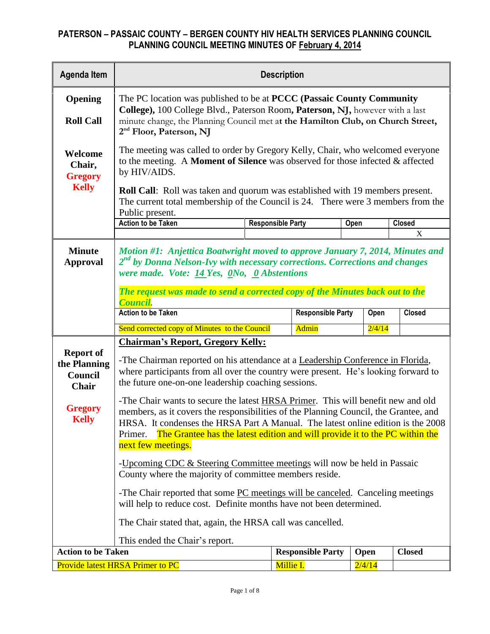| <b>Agenda Item</b>                                          | <b>Description</b>                                                                                                                                                                                                                                                                                                                                                                   |                          |                          |                |                  |  |  |  |  |  |  |  |
|-------------------------------------------------------------|--------------------------------------------------------------------------------------------------------------------------------------------------------------------------------------------------------------------------------------------------------------------------------------------------------------------------------------------------------------------------------------|--------------------------|--------------------------|----------------|------------------|--|--|--|--|--|--|--|
| Opening<br><b>Roll Call</b>                                 | The PC location was published to be at <b>PCCC</b> (Passaic County Community<br>College), 100 College Blvd., Paterson Room, Paterson, NJ, however with a last<br>minute change, the Planning Council met at the Hamilton Club, on Church Street,<br>2 <sup>nd</sup> Floor, Paterson, NJ                                                                                              |                          |                          |                |                  |  |  |  |  |  |  |  |
| Welcome<br>Chair,<br><b>Gregory</b><br><b>Kelly</b>         | The meeting was called to order by Gregory Kelly, Chair, who welcomed everyone<br>to the meeting. A Moment of Silence was observed for those infected & affected<br>by HIV/AIDS.<br><b>Roll Call:</b> Roll was taken and quorum was established with 19 members present.<br>The current total membership of the Council is 24. There were 3 members from the                         |                          |                          |                |                  |  |  |  |  |  |  |  |
|                                                             | Public present.                                                                                                                                                                                                                                                                                                                                                                      |                          |                          |                |                  |  |  |  |  |  |  |  |
|                                                             | <b>Action to be Taken</b>                                                                                                                                                                                                                                                                                                                                                            | <b>Responsible Party</b> |                          | Open           | <b>Closed</b>    |  |  |  |  |  |  |  |
|                                                             |                                                                                                                                                                                                                                                                                                                                                                                      |                          |                          |                | $\boldsymbol{X}$ |  |  |  |  |  |  |  |
| <b>Minute</b><br><b>Approval</b>                            | Motion #1: Anjettica Boatwright moved to approve January 7, 2014, Minutes and<br>2 <sup>nd</sup> by Donna Nelson-Ivy with necessary corrections. Corrections and changes<br>were made. Vote: 14 Yes, 0No, 0 Abstentions<br>The request was made to send a corrected copy of the Minutes back out to the                                                                              |                          |                          |                |                  |  |  |  |  |  |  |  |
|                                                             | Council.<br><b>Action to be Taken</b>                                                                                                                                                                                                                                                                                                                                                |                          | <b>Responsible Party</b> |                | <b>Closed</b>    |  |  |  |  |  |  |  |
|                                                             |                                                                                                                                                                                                                                                                                                                                                                                      |                          |                          | Open           |                  |  |  |  |  |  |  |  |
|                                                             | Send corrected copy of Minutes to the Council                                                                                                                                                                                                                                                                                                                                        |                          | <b>Admin</b>             | 2/4/14         |                  |  |  |  |  |  |  |  |
| <b>Report of</b><br>the Planning<br>Council<br><b>Chair</b> | <b>Chairman's Report, Gregory Kelly:</b><br>-The Chairman reported on his attendance at a Leadership Conference in Florida,<br>where participants from all over the country were present. He's looking forward to<br>the future one-on-one leadership coaching sessions.                                                                                                             |                          |                          |                |                  |  |  |  |  |  |  |  |
| <b>Gregory</b><br><b>Kelly</b>                              | -The Chair wants to secure the latest <b>HRSA Primer</b> . This will benefit new and old<br>members, as it covers the responsibilities of the Planning Council, the Grantee, and<br>HRSA. It condenses the HRSA Part A Manual. The latest online edition is the 2008<br>The Grantee has the latest edition and will provide it to the PC within the<br>Primer.<br>next few meetings. |                          |                          |                |                  |  |  |  |  |  |  |  |
|                                                             | -Upcoming CDC & Steering Committee meetings will now be held in Passaic<br>County where the majority of committee members reside.                                                                                                                                                                                                                                                    |                          |                          |                |                  |  |  |  |  |  |  |  |
|                                                             | -The Chair reported that some PC meetings will be canceled. Canceling meetings<br>will help to reduce cost. Definite months have not been determined.                                                                                                                                                                                                                                |                          |                          |                |                  |  |  |  |  |  |  |  |
|                                                             | The Chair stated that, again, the HRSA call was cancelled.                                                                                                                                                                                                                                                                                                                           |                          |                          |                |                  |  |  |  |  |  |  |  |
| <b>Action to be Taken</b>                                   | This ended the Chair's report.                                                                                                                                                                                                                                                                                                                                                       |                          |                          |                | <b>Closed</b>    |  |  |  |  |  |  |  |
|                                                             | <b>Provide latest HRSA Primer to PC</b>                                                                                                                                                                                                                                                                                                                                              | Millie I.                | <b>Responsible Party</b> | Open<br>2/4/14 |                  |  |  |  |  |  |  |  |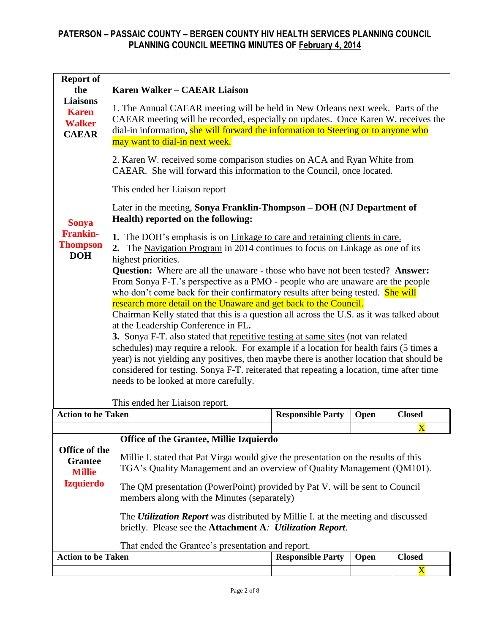| <b>Report of</b><br>the<br><b>Liaisons</b><br><b>Karen</b><br><b>Walker</b><br><b>CAEAR</b><br><b>Sonya</b><br><b>Frankin-</b><br><b>Thompson</b><br><b>DOH</b> | <b>Karen Walker - CAEAR Liaison</b><br>1. The Annual CAEAR meeting will be held in New Orleans next week. Parts of the<br>CAEAR meeting will be recorded, especially on updates. Once Karen W. receives the<br>dial-in information, she will forward the information to Steering or to anyone who<br>may want to dial-in next week.<br>2. Karen W. received some comparison studies on ACA and Ryan White from<br>CAEAR. She will forward this information to the Council, once located.<br>This ended her Liaison report<br>Later in the meeting, Sonya Franklin-Thompson – DOH (NJ Department of<br>Health) reported on the following:<br>1. The DOH's emphasis is on Linkage to care and retaining clients in care.<br>2. The Navigation Program in 2014 continues to focus on Linkage as one of its<br>highest priorities.<br>Question: Where are all the unaware - those who have not been tested? Answer:<br>From Sonya F-T.'s perspective as a PMO - people who are unaware are the people<br>who don't come back for their confirmatory results after being tested. She will<br>research more detail on the Unaware and get back to the Council.<br>Chairman Kelly stated that this is a question all across the U.S. as it was talked about<br>at the Leadership Conference in FL.<br>3. Sonya F-T. also stated that repetitive testing at same sites (not van related<br>schedules) may require a relook. For example if a location for health fairs (5 times a<br>year) is not yielding any positives, then maybe there is another location that should be<br>considered for testing. Sonya F-T. reiterated that repeating a location, time after time<br>needs to be looked at more carefully. |                          |                              |                                        |  |  |  |  |  |  |
|-----------------------------------------------------------------------------------------------------------------------------------------------------------------|------------------------------------------------------------------------------------------------------------------------------------------------------------------------------------------------------------------------------------------------------------------------------------------------------------------------------------------------------------------------------------------------------------------------------------------------------------------------------------------------------------------------------------------------------------------------------------------------------------------------------------------------------------------------------------------------------------------------------------------------------------------------------------------------------------------------------------------------------------------------------------------------------------------------------------------------------------------------------------------------------------------------------------------------------------------------------------------------------------------------------------------------------------------------------------------------------------------------------------------------------------------------------------------------------------------------------------------------------------------------------------------------------------------------------------------------------------------------------------------------------------------------------------------------------------------------------------------------------------------------------------------------------------------------------------------------------------|--------------------------|------------------------------|----------------------------------------|--|--|--|--|--|--|
|                                                                                                                                                                 | This ended her Liaison report.                                                                                                                                                                                                                                                                                                                                                                                                                                                                                                                                                                                                                                                                                                                                                                                                                                                                                                                                                                                                                                                                                                                                                                                                                                                                                                                                                                                                                                                                                                                                                                                                                                                                             |                          |                              |                                        |  |  |  |  |  |  |
| <b>Action to be Taken</b>                                                                                                                                       |                                                                                                                                                                                                                                                                                                                                                                                                                                                                                                                                                                                                                                                                                                                                                                                                                                                                                                                                                                                                                                                                                                                                                                                                                                                                                                                                                                                                                                                                                                                                                                                                                                                                                                            | <b>Responsible Party</b> | Open                         | <b>Closed</b><br>$\overline{\text{X}}$ |  |  |  |  |  |  |
| Office of the<br><b>Grantee</b><br><b>Millie</b><br><b>Izquierdo</b>                                                                                            | Office of the Grantee, Millie Izquierdo<br>Millie I. stated that Pat Virga would give the presentation on the results of this<br>TGA's Quality Management and an overview of Quality Management (QM101).<br>The QM presentation (PowerPoint) provided by Pat V. will be sent to Council<br>members along with the Minutes (separately)<br>The <i>Utilization Report</i> was distributed by Millie I. at the meeting and discussed<br>briefly. Please see the Attachment A: Utilization Report.<br>That ended the Grantee's presentation and report.                                                                                                                                                                                                                                                                                                                                                                                                                                                                                                                                                                                                                                                                                                                                                                                                                                                                                                                                                                                                                                                                                                                                                        |                          |                              |                                        |  |  |  |  |  |  |
| <b>Action to be Taken</b>                                                                                                                                       |                                                                                                                                                                                                                                                                                                                                                                                                                                                                                                                                                                                                                                                                                                                                                                                                                                                                                                                                                                                                                                                                                                                                                                                                                                                                                                                                                                                                                                                                                                                                                                                                                                                                                                            | <b>Responsible Party</b> | <b>Closed</b><br>$\mathbf X$ |                                        |  |  |  |  |  |  |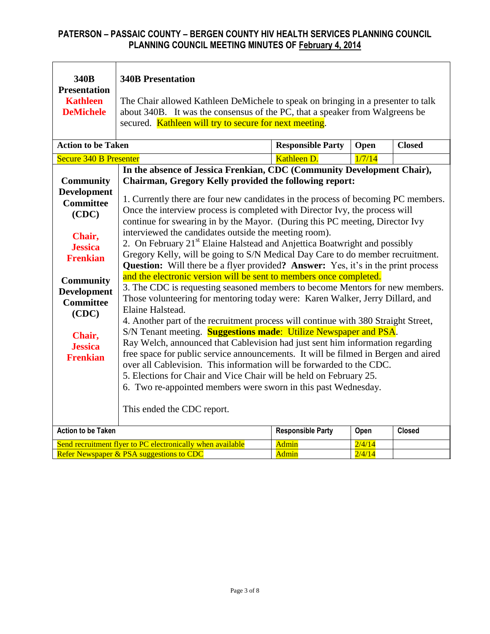| 340B<br><b>Presentation</b><br><b>Kathleen</b><br><b>DeMichele</b>                                                 | <b>340B Presentation</b><br>The Chair allowed Kathleen DeMichele to speak on bringing in a presenter to talk<br>about 340B. It was the consensus of the PC, that a speaker from Walgreens be                                                                                                                                                                                                                                                                                                                                                                                                                                                                                                                                                                                                                                                  |                              |                  |               |  |  |  |  |  |  |  |  |  |
|--------------------------------------------------------------------------------------------------------------------|-----------------------------------------------------------------------------------------------------------------------------------------------------------------------------------------------------------------------------------------------------------------------------------------------------------------------------------------------------------------------------------------------------------------------------------------------------------------------------------------------------------------------------------------------------------------------------------------------------------------------------------------------------------------------------------------------------------------------------------------------------------------------------------------------------------------------------------------------|------------------------------|------------------|---------------|--|--|--|--|--|--|--|--|--|
|                                                                                                                    | secured. Kathleen will try to secure for next meeting.                                                                                                                                                                                                                                                                                                                                                                                                                                                                                                                                                                                                                                                                                                                                                                                        |                              |                  |               |  |  |  |  |  |  |  |  |  |
|                                                                                                                    |                                                                                                                                                                                                                                                                                                                                                                                                                                                                                                                                                                                                                                                                                                                                                                                                                                               |                              |                  |               |  |  |  |  |  |  |  |  |  |
| <b>Action to be Taken</b>                                                                                          |                                                                                                                                                                                                                                                                                                                                                                                                                                                                                                                                                                                                                                                                                                                                                                                                                                               | <b>Responsible Party</b>     | Open             | <b>Closed</b> |  |  |  |  |  |  |  |  |  |
| <b>Secure 340 B Presenter</b>                                                                                      |                                                                                                                                                                                                                                                                                                                                                                                                                                                                                                                                                                                                                                                                                                                                                                                                                                               | Kathleen D.                  | 1/7/14           |               |  |  |  |  |  |  |  |  |  |
|                                                                                                                    | In the absence of Jessica Frenkian, CDC (Community Development Chair),                                                                                                                                                                                                                                                                                                                                                                                                                                                                                                                                                                                                                                                                                                                                                                        |                              |                  |               |  |  |  |  |  |  |  |  |  |
| <b>Community</b>                                                                                                   | Chairman, Gregory Kelly provided the following report:                                                                                                                                                                                                                                                                                                                                                                                                                                                                                                                                                                                                                                                                                                                                                                                        |                              |                  |               |  |  |  |  |  |  |  |  |  |
| <b>Development</b><br><b>Committee</b><br>(CDC)                                                                    | 1. Currently there are four new candidates in the process of becoming PC members.<br>Once the interview process is completed with Director Ivy, the process will<br>continue for swearing in by the Mayor. (During this PC meeting, Director Ivy                                                                                                                                                                                                                                                                                                                                                                                                                                                                                                                                                                                              |                              |                  |               |  |  |  |  |  |  |  |  |  |
| Chair,<br><b>Jessica</b><br><b>Frenkian</b>                                                                        | interviewed the candidates outside the meeting room).<br>2. On February 21 <sup>st</sup> Elaine Halstead and Anjettica Boatwright and possibly<br>Gregory Kelly, will be going to S/N Medical Day Care to do member recruitment.<br><b>Question:</b> Will there be a flyer provided? <b>Answer:</b> Yes, it's in the print process                                                                                                                                                                                                                                                                                                                                                                                                                                                                                                            |                              |                  |               |  |  |  |  |  |  |  |  |  |
| <b>Community</b><br><b>Development</b><br><b>Committee</b><br>(CDC)<br>Chair,<br><b>Jessica</b><br><b>Frenkian</b> | and the electronic version will be sent to members once completed.<br>3. The CDC is requesting seasoned members to become Mentors for new members.<br>Those volunteering for mentoring today were: Karen Walker, Jerry Dillard, and<br>Elaine Halstead.<br>4. Another part of the recruitment process will continue with 380 Straight Street,<br>S/N Tenant meeting. <b>Suggestions made:</b> Utilize Newspaper and PSA.<br>Ray Welch, announced that Cablevision had just sent him information regarding<br>free space for public service announcements. It will be filmed in Bergen and aired<br>over all Cablevision. This information will be forwarded to the CDC.<br>5. Elections for Chair and Vice Chair will be held on February 25.<br>6. Two re-appointed members were sworn in this past Wednesday.<br>This ended the CDC report. |                              |                  |               |  |  |  |  |  |  |  |  |  |
| <b>Action to be Taken</b>                                                                                          |                                                                                                                                                                                                                                                                                                                                                                                                                                                                                                                                                                                                                                                                                                                                                                                                                                               | <b>Responsible Party</b>     | Open             | <b>Closed</b> |  |  |  |  |  |  |  |  |  |
|                                                                                                                    | Send recruitment flyer to PC electronically when available<br>Refer Newspaper & PSA suggestions to CDC                                                                                                                                                                                                                                                                                                                                                                                                                                                                                                                                                                                                                                                                                                                                        | <b>Admin</b><br><b>Admin</b> | 2/4/14<br>2/4/14 |               |  |  |  |  |  |  |  |  |  |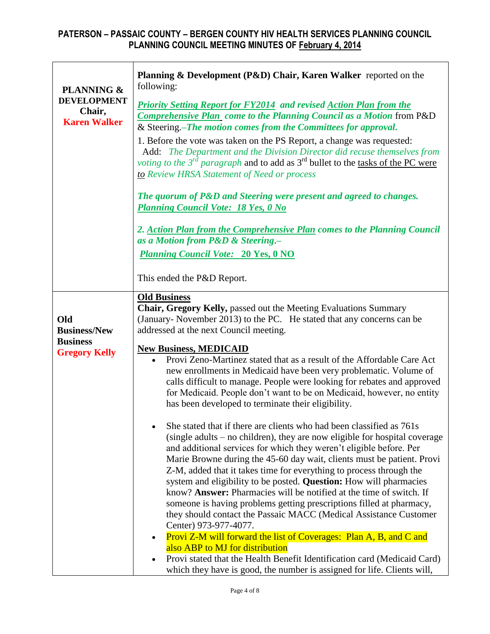| <b>PLANNING &amp;</b>                               | Planning & Development (P&D) Chair, Karen Walker reported on the<br>following:                                                                                                                                                                                                                                                                                                                                                                                                                                                                                                                                                                                                                |  |  |  |  |  |  |  |  |
|-----------------------------------------------------|-----------------------------------------------------------------------------------------------------------------------------------------------------------------------------------------------------------------------------------------------------------------------------------------------------------------------------------------------------------------------------------------------------------------------------------------------------------------------------------------------------------------------------------------------------------------------------------------------------------------------------------------------------------------------------------------------|--|--|--|--|--|--|--|--|
| <b>DEVELOPMENT</b><br>Chair,<br><b>Karen Walker</b> | <b>Priority Setting Report for FY2014 and revised Action Plan from the</b><br><b>Comprehensive Plan</b> come to the Planning Council as a Motion from P&D<br>& Steering.-The motion comes from the Committees for approval.                                                                                                                                                                                                                                                                                                                                                                                                                                                                   |  |  |  |  |  |  |  |  |
|                                                     | 1. Before the vote was taken on the PS Report, a change was requested:<br>Add: The Department and the Division Director did recuse themselves from<br><i>voting to the 3<sup>rd</sup> paragraph</i> and to add as $3^{rd}$ bullet to the tasks of the PC were<br>to Review HRSA Statement of Need or process                                                                                                                                                                                                                                                                                                                                                                                  |  |  |  |  |  |  |  |  |
|                                                     | The quorum of P&D and Steering were present and agreed to changes.<br><b>Planning Council Vote: 18 Yes, 0 No</b>                                                                                                                                                                                                                                                                                                                                                                                                                                                                                                                                                                              |  |  |  |  |  |  |  |  |
|                                                     | 2. Action Plan from the Comprehensive Plan comes to the Planning Council<br>as a Motion from P&D & Steering .-                                                                                                                                                                                                                                                                                                                                                                                                                                                                                                                                                                                |  |  |  |  |  |  |  |  |
|                                                     | <b>Planning Council Vote: 20 Yes, 0 NO</b>                                                                                                                                                                                                                                                                                                                                                                                                                                                                                                                                                                                                                                                    |  |  |  |  |  |  |  |  |
|                                                     | This ended the P&D Report.                                                                                                                                                                                                                                                                                                                                                                                                                                                                                                                                                                                                                                                                    |  |  |  |  |  |  |  |  |
|                                                     | <b>Old Business</b><br>Chair, Gregory Kelly, passed out the Meeting Evaluations Summary                                                                                                                                                                                                                                                                                                                                                                                                                                                                                                                                                                                                       |  |  |  |  |  |  |  |  |
| Old                                                 | (January-November 2013) to the PC. He stated that any concerns can be                                                                                                                                                                                                                                                                                                                                                                                                                                                                                                                                                                                                                         |  |  |  |  |  |  |  |  |
| <b>Business/New</b>                                 | addressed at the next Council meeting.                                                                                                                                                                                                                                                                                                                                                                                                                                                                                                                                                                                                                                                        |  |  |  |  |  |  |  |  |
| <b>Business</b><br><b>Gregory Kelly</b>             | <b>New Business, MEDICAID</b>                                                                                                                                                                                                                                                                                                                                                                                                                                                                                                                                                                                                                                                                 |  |  |  |  |  |  |  |  |
|                                                     | Provi Zeno-Martinez stated that as a result of the Affordable Care Act<br>$\bullet$<br>new enrollments in Medicaid have been very problematic. Volume of<br>calls difficult to manage. People were looking for rebates and approved<br>for Medicaid. People don't want to be on Medicaid, however, no entity<br>has been developed to terminate their eligibility.                                                                                                                                                                                                                                                                                                                            |  |  |  |  |  |  |  |  |
|                                                     | She stated that if there are clients who had been classified as 761s<br>(single adults – no children), they are now eligible for hospital coverage<br>and additional services for which they weren't eligible before. Per<br>Marie Browne during the 45-60 day wait, clients must be patient. Provi<br>Z-M, added that it takes time for everything to process through the<br>system and eligibility to be posted. Question: How will pharmacies<br>know? Answer: Pharmacies will be notified at the time of switch. If<br>someone is having problems getting prescriptions filled at pharmacy,<br>they should contact the Passaic MACC (Medical Assistance Customer<br>Center) 973-977-4077. |  |  |  |  |  |  |  |  |
|                                                     | Provi Z-M will forward the list of Coverages: Plan A, B, and C and<br>also ABP to MJ for distribution                                                                                                                                                                                                                                                                                                                                                                                                                                                                                                                                                                                         |  |  |  |  |  |  |  |  |
|                                                     | Provi stated that the Health Benefit Identification card (Medicaid Card)<br>which they have is good, the number is assigned for life. Clients will,                                                                                                                                                                                                                                                                                                                                                                                                                                                                                                                                           |  |  |  |  |  |  |  |  |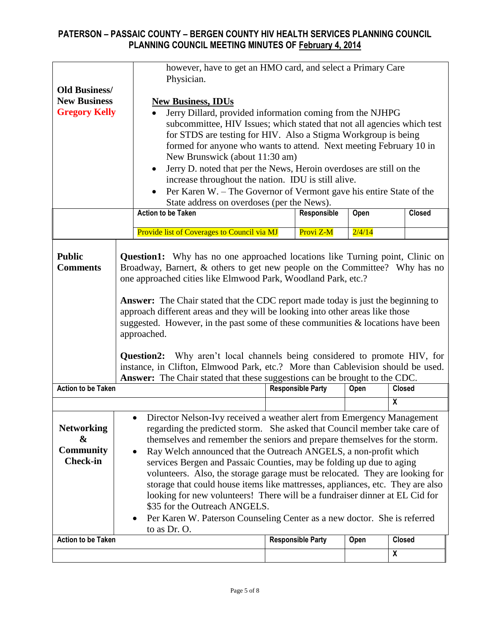|                           | however, have to get an HMO card, and select a Primary Care                                                                                                                                                                                                                                                                                                                                                                                                                                                                                                                                         |  |                          |        |                         |  |  |  |  |  |  |
|---------------------------|-----------------------------------------------------------------------------------------------------------------------------------------------------------------------------------------------------------------------------------------------------------------------------------------------------------------------------------------------------------------------------------------------------------------------------------------------------------------------------------------------------------------------------------------------------------------------------------------------------|--|--------------------------|--------|-------------------------|--|--|--|--|--|--|
| <b>Old Business/</b>      | Physician.                                                                                                                                                                                                                                                                                                                                                                                                                                                                                                                                                                                          |  |                          |        |                         |  |  |  |  |  |  |
| <b>New Business</b>       |                                                                                                                                                                                                                                                                                                                                                                                                                                                                                                                                                                                                     |  |                          |        |                         |  |  |  |  |  |  |
| <b>Gregory Kelly</b>      | <b>New Business, IDUs</b>                                                                                                                                                                                                                                                                                                                                                                                                                                                                                                                                                                           |  |                          |        |                         |  |  |  |  |  |  |
|                           | Jerry Dillard, provided information coming from the NJHPG<br>subcommittee, HIV Issues; which stated that not all agencies which test                                                                                                                                                                                                                                                                                                                                                                                                                                                                |  |                          |        |                         |  |  |  |  |  |  |
|                           | for STDS are testing for HIV. Also a Stigma Workgroup is being                                                                                                                                                                                                                                                                                                                                                                                                                                                                                                                                      |  |                          |        |                         |  |  |  |  |  |  |
|                           | formed for anyone who wants to attend. Next meeting February 10 in                                                                                                                                                                                                                                                                                                                                                                                                                                                                                                                                  |  |                          |        |                         |  |  |  |  |  |  |
|                           | New Brunswick (about 11:30 am)                                                                                                                                                                                                                                                                                                                                                                                                                                                                                                                                                                      |  |                          |        |                         |  |  |  |  |  |  |
|                           | Jerry D. noted that per the News, Heroin overdoses are still on the                                                                                                                                                                                                                                                                                                                                                                                                                                                                                                                                 |  |                          |        |                         |  |  |  |  |  |  |
|                           | increase throughout the nation. IDU is still alive.                                                                                                                                                                                                                                                                                                                                                                                                                                                                                                                                                 |  |                          |        |                         |  |  |  |  |  |  |
|                           | Per Karen W. – The Governor of Vermont gave his entire State of the                                                                                                                                                                                                                                                                                                                                                                                                                                                                                                                                 |  |                          |        |                         |  |  |  |  |  |  |
|                           | State address on overdoses (per the News).                                                                                                                                                                                                                                                                                                                                                                                                                                                                                                                                                          |  |                          |        |                         |  |  |  |  |  |  |
|                           | <b>Action to be Taken</b>                                                                                                                                                                                                                                                                                                                                                                                                                                                                                                                                                                           |  | Responsible              | Open   | <b>Closed</b>           |  |  |  |  |  |  |
|                           |                                                                                                                                                                                                                                                                                                                                                                                                                                                                                                                                                                                                     |  |                          |        |                         |  |  |  |  |  |  |
|                           | Provide list of Coverages to Council via MJ                                                                                                                                                                                                                                                                                                                                                                                                                                                                                                                                                         |  | Provi Z-M                | 2/4/14 |                         |  |  |  |  |  |  |
|                           | one approached cities like Elmwood Park, Woodland Park, etc.?<br><b>Answer:</b> The Chair stated that the CDC report made today is just the beginning to<br>approach different areas and they will be looking into other areas like those<br>suggested. However, in the past some of these communities $\&$ locations have been<br>approached.<br><b>Question2:</b> Why aren't local channels being considered to promote HIV, for<br>instance, in Clifton, Elmwood Park, etc.? More than Cablevision should be used.<br>Answer: The Chair stated that these suggestions can be brought to the CDC. |  |                          |        |                         |  |  |  |  |  |  |
| <b>Action to be Taken</b> |                                                                                                                                                                                                                                                                                                                                                                                                                                                                                                                                                                                                     |  | <b>Responsible Party</b> | Open   | <b>Closed</b>           |  |  |  |  |  |  |
|                           |                                                                                                                                                                                                                                                                                                                                                                                                                                                                                                                                                                                                     |  |                          |        | $\overline{\mathbf{x}}$ |  |  |  |  |  |  |
|                           | Director Nelson-Ivy received a weather alert from Emergency Management<br>$\bullet$                                                                                                                                                                                                                                                                                                                                                                                                                                                                                                                 |  |                          |        |                         |  |  |  |  |  |  |
| <b>Networking</b>         | regarding the predicted storm. She asked that Council member take care of                                                                                                                                                                                                                                                                                                                                                                                                                                                                                                                           |  |                          |        |                         |  |  |  |  |  |  |
| &                         | themselves and remember the seniors and prepare themselves for the storm.                                                                                                                                                                                                                                                                                                                                                                                                                                                                                                                           |  |                          |        |                         |  |  |  |  |  |  |
| <b>Community</b>          | Ray Welch announced that the Outreach ANGELS, a non-profit which                                                                                                                                                                                                                                                                                                                                                                                                                                                                                                                                    |  |                          |        |                         |  |  |  |  |  |  |
| <b>Check-in</b>           |                                                                                                                                                                                                                                                                                                                                                                                                                                                                                                                                                                                                     |  |                          |        |                         |  |  |  |  |  |  |
|                           | services Bergen and Passaic Counties, may be folding up due to aging<br>volunteers. Also, the storage garage must be relocated. They are looking for                                                                                                                                                                                                                                                                                                                                                                                                                                                |  |                          |        |                         |  |  |  |  |  |  |
|                           | storage that could house items like mattresses, appliances, etc. They are also                                                                                                                                                                                                                                                                                                                                                                                                                                                                                                                      |  |                          |        |                         |  |  |  |  |  |  |
|                           | looking for new volunteers! There will be a fundraiser dinner at EL Cid for                                                                                                                                                                                                                                                                                                                                                                                                                                                                                                                         |  |                          |        |                         |  |  |  |  |  |  |
|                           | \$35 for the Outreach ANGELS.                                                                                                                                                                                                                                                                                                                                                                                                                                                                                                                                                                       |  |                          |        |                         |  |  |  |  |  |  |
|                           | Per Karen W. Paterson Counseling Center as a new doctor. She is referred                                                                                                                                                                                                                                                                                                                                                                                                                                                                                                                            |  |                          |        |                         |  |  |  |  |  |  |
|                           | to as Dr. O.                                                                                                                                                                                                                                                                                                                                                                                                                                                                                                                                                                                        |  |                          |        |                         |  |  |  |  |  |  |
| <b>Action to be Taken</b> |                                                                                                                                                                                                                                                                                                                                                                                                                                                                                                                                                                                                     |  | <b>Responsible Party</b> | Open   | <b>Closed</b>           |  |  |  |  |  |  |
|                           |                                                                                                                                                                                                                                                                                                                                                                                                                                                                                                                                                                                                     |  |                          |        | $\boldsymbol{X}$        |  |  |  |  |  |  |
|                           |                                                                                                                                                                                                                                                                                                                                                                                                                                                                                                                                                                                                     |  |                          |        |                         |  |  |  |  |  |  |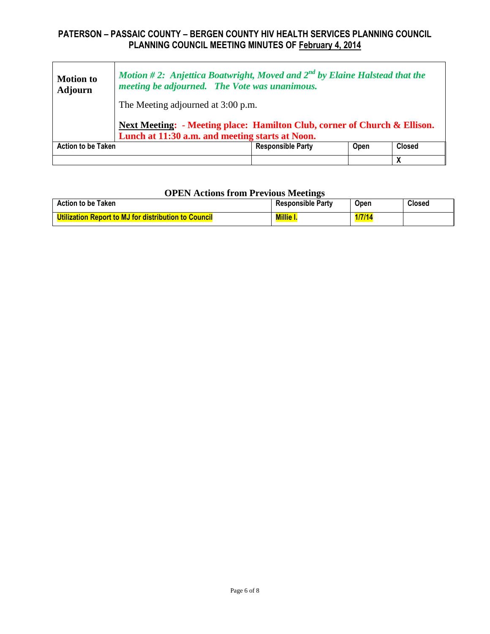| <b>Motion to</b><br><b>Adjourn</b>                                                                                           | Motion #2: Anjettica Boatwright, Moved and $2^{nd}$ by Elaine Halstead that the<br>meeting be adjourned. The Vote was unanimous.<br>The Meeting adjourned at 3:00 p.m. |                                  |  |               |  |  |  |  |
|------------------------------------------------------------------------------------------------------------------------------|------------------------------------------------------------------------------------------------------------------------------------------------------------------------|----------------------------------|--|---------------|--|--|--|--|
| Next Meeting: - Meeting place: Hamilton Club, corner of Church & Ellison.<br>Lunch at 11:30 a.m. and meeting starts at Noon. |                                                                                                                                                                        |                                  |  |               |  |  |  |  |
| <b>Action to be Taken</b>                                                                                                    |                                                                                                                                                                        | <b>Responsible Party</b><br>Open |  | <b>Closed</b> |  |  |  |  |
|                                                                                                                              |                                                                                                                                                                        |                                  |  |               |  |  |  |  |

#### **OPEN Actions from Previous Meetings**

| <b>Action to be Taken</b>                                   | <b>Responsible Party</b> | <b>Open</b> | <b>Closed</b> |
|-------------------------------------------------------------|--------------------------|-------------|---------------|
| <b>Utilization Report to MJ for distribution to Council</b> | <b>Millie</b>            | 1/7/14      |               |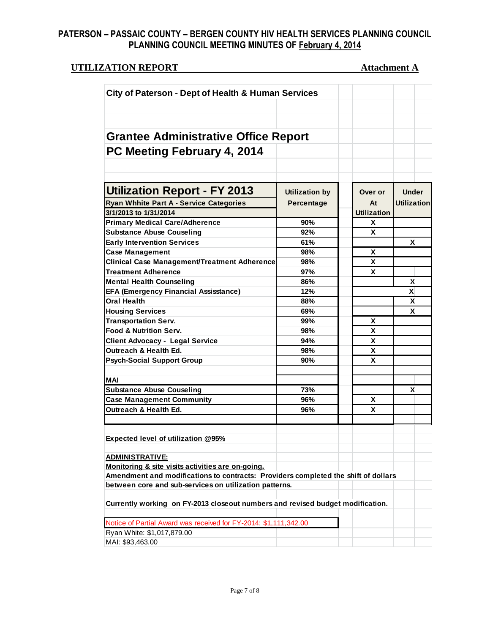# **UTILIZATION REPORT Attachment A**

| City of Paterson - Dept of Health & Human Services                                 |                       |                    |                    |
|------------------------------------------------------------------------------------|-----------------------|--------------------|--------------------|
|                                                                                    |                       |                    |                    |
|                                                                                    |                       |                    |                    |
|                                                                                    |                       |                    |                    |
| <b>Grantee Administrative Office Report</b>                                        |                       |                    |                    |
| PC Meeting February 4, 2014                                                        |                       |                    |                    |
|                                                                                    |                       |                    |                    |
|                                                                                    |                       |                    |                    |
|                                                                                    |                       |                    |                    |
| <b>Utilization Report - FY 2013</b>                                                | <b>Utilization by</b> | Over or            | <b>Under</b>       |
| <b>Ryan Whhite Part A - Service Categories</b>                                     | Percentage            | At                 | <b>Utilization</b> |
| 3/1/2013 to 1/31/2014                                                              |                       | <b>Utilization</b> |                    |
| <b>Primary Medical Care/Adherence</b>                                              | 90%                   | X                  |                    |
| <b>Substance Abuse Couseling</b>                                                   | 92%                   | X                  |                    |
| <b>Early Intervention Services</b>                                                 | 61%                   |                    | X                  |
| <b>Case Management</b>                                                             | 98%                   | x                  |                    |
| <b>Clinical Case Management/Treatment Adherence</b>                                | 98%                   | X                  |                    |
| <b>Treatment Adherence</b>                                                         | 97%                   | X                  |                    |
| <b>Mental Health Counseling</b>                                                    | 86%                   |                    | X                  |
| <b>EFA (Emergency Financial Assisstance)</b>                                       | 12%                   |                    | X                  |
| <b>Oral Health</b>                                                                 | 88%                   |                    | x                  |
| <b>Housing Services</b>                                                            | 69%                   |                    | X                  |
| <b>Transportation Serv.</b>                                                        | 99%                   | X                  |                    |
| Food & Nutrition Serv.                                                             | 98%                   | X                  |                    |
| <b>Client Advocacy - Legal Service</b>                                             | 94%                   | X                  |                    |
| Outreach & Health Ed.                                                              | 98%                   | X                  |                    |
| <b>Psych-Social Support Group</b>                                                  | 90%                   | X                  |                    |
|                                                                                    |                       |                    |                    |
| <b>MAI</b><br><b>Substance Abuse Couseling</b>                                     | 73%                   |                    | X                  |
| <b>Case Management Community</b>                                                   | 96%                   | х                  |                    |
| Outreach & Health Ed.                                                              | 96%                   | X                  |                    |
|                                                                                    |                       |                    |                    |
|                                                                                    |                       |                    |                    |
| <b>Expected level of utilization @95%</b>                                          |                       |                    |                    |
| <b>ADMINISTRATIVE:</b>                                                             |                       |                    |                    |
| Monitoring & site visits activities are on-going.                                  |                       |                    |                    |
| Amendment and modifications to contracts: Providers completed the shift of dollars |                       |                    |                    |
| between core and sub-services on utilization patterns.                             |                       |                    |                    |
| Currently working on FY-2013 closeout numbers and revised budget modification.     |                       |                    |                    |
| Notice of Partial Award was received for FY-2014: \$1,111,342.00                   |                       |                    |                    |
| Ryan White: \$1,017,879.00                                                         |                       |                    |                    |
| MAI: \$93,463.00                                                                   |                       |                    |                    |